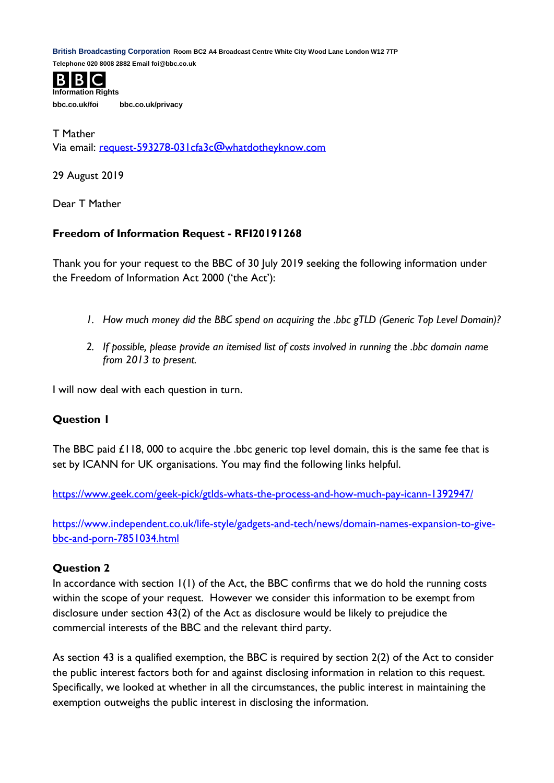**British Broadcasting Corporation Room BC2 A4 Broadcast Centre White City Wood Lane London W12 7TP** 

**Telephone 020 8008 2882 Email foi@bbc.co.uk**



**bbc.co.uk/foi bbc.co.uk/privacy**

T Mather Via email: [request-593278-031cfa3c@whatdotheyknow.com](mailto:xxxxxxxxxxxxxxxxxxxxxxx@xxxxxxxxxxxxxx.xxx)

29 August 2019

Dear T Mather

## **Freedom of Information Request - RFI20191268**

Thank you for your request to the BBC of 30 July 2019 seeking the following information under the Freedom of Information Act 2000 ('the Act'):

- *1. How much money did the BBC spend on acquiring the .bbc gTLD (Generic Top Level Domain)?*
- *2. If possible, please provide an itemised list of costs involved in running the .bbc domain name from 2013 to present.*

I will now deal with each question in turn.

## **Question 1**

The BBC paid £118, 000 to acquire the .bbc generic top level domain, this is the same fee that is set by ICANN for UK organisations. You may find the following links helpful.

<https://www.geek.com/geek-pick/gtlds-whats-the-process-and-how-much-pay-icann-1392947/>

[https://www.independent.co.uk/life-style/gadgets-and-tech/news/domain-names-expansion-to-give](https://www.independent.co.uk/life-style/gadgets-and-tech/news/domain-names-expansion-to-give-bbc-and-porn-7851034.html)[bbc-and-porn-7851034.html](https://www.independent.co.uk/life-style/gadgets-and-tech/news/domain-names-expansion-to-give-bbc-and-porn-7851034.html)

## **Question 2**

In accordance with section  $I(I)$  of the Act, the BBC confirms that we do hold the running costs within the scope of your request. However we consider this information to be exempt from disclosure under section 43(2) of the Act as disclosure would be likely to prejudice the commercial interests of the BBC and the relevant third party.

As section 43 is a qualified exemption, the BBC is required by section 2(2) of the Act to consider the public interest factors both for and against disclosing information in relation to this request. Specifically, we looked at whether in all the circumstances, the public interest in maintaining the exemption outweighs the public interest in disclosing the information.